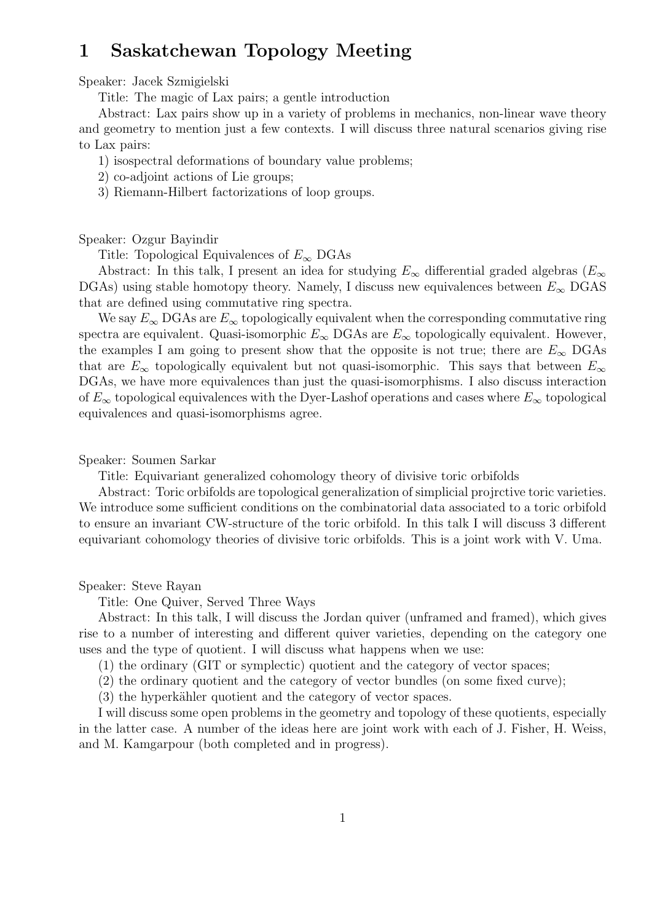# 1 Saskatchewan Topology Meeting

# Speaker: Jacek Szmigielski

Title: The magic of Lax pairs; a gentle introduction

Abstract: Lax pairs show up in a variety of problems in mechanics, non-linear wave theory and geometry to mention just a few contexts. I will discuss three natural scenarios giving rise to Lax pairs:

- 1) isospectral deformations of boundary value problems;
- 2) co-adjoint actions of Lie groups;
- 3) Riemann-Hilbert factorizations of loop groups.

### Speaker: Ozgur Bayindir

Title: Topological Equivalences of  $E_{\infty}$  DGAs

Abstract: In this talk, I present an idea for studying  $E_{\infty}$  differential graded algebras ( $E_{\infty}$ ) DGAs) using stable homotopy theory. Namely, I discuss new equivalences between  $E_{\infty}$  DGAS that are defined using commutative ring spectra.

We say  $E_{\infty}$  DGAs are  $E_{\infty}$  topologically equivalent when the corresponding commutative ring spectra are equivalent. Quasi-isomorphic  $E_{\infty}$  DGAs are  $E_{\infty}$  topologically equivalent. However, the examples I am going to present show that the opposite is not true; there are  $E_{\infty}$  DGAs that are  $E_{\infty}$  topologically equivalent but not quasi-isomorphic. This says that between  $E_{\infty}$ DGAs, we have more equivalences than just the quasi-isomorphisms. I also discuss interaction of  $E_{\infty}$  topological equivalences with the Dyer-Lashof operations and cases where  $E_{\infty}$  topological equivalences and quasi-isomorphisms agree.

# Speaker: Soumen Sarkar

Title: Equivariant generalized cohomology theory of divisive toric orbifolds

Abstract: Toric orbifolds are topological generalization of simplicial projrctive toric varieties. We introduce some sufficient conditions on the combinatorial data associated to a toric orbifold to ensure an invariant CW-structure of the toric orbifold. In this talk I will discuss 3 different equivariant cohomology theories of divisive toric orbifolds. This is a joint work with V. Uma.

#### Speaker: Steve Rayan

Title: One Quiver, Served Three Ways

Abstract: In this talk, I will discuss the Jordan quiver (unframed and framed), which gives rise to a number of interesting and different quiver varieties, depending on the category one uses and the type of quotient. I will discuss what happens when we use:

(1) the ordinary (GIT or symplectic) quotient and the category of vector spaces;

(2) the ordinary quotient and the category of vector bundles (on some fixed curve);

(3) the hyperkähler quotient and the category of vector spaces.

I will discuss some open problems in the geometry and topology of these quotients, especially in the latter case. A number of the ideas here are joint work with each of J. Fisher, H. Weiss, and M. Kamgarpour (both completed and in progress).